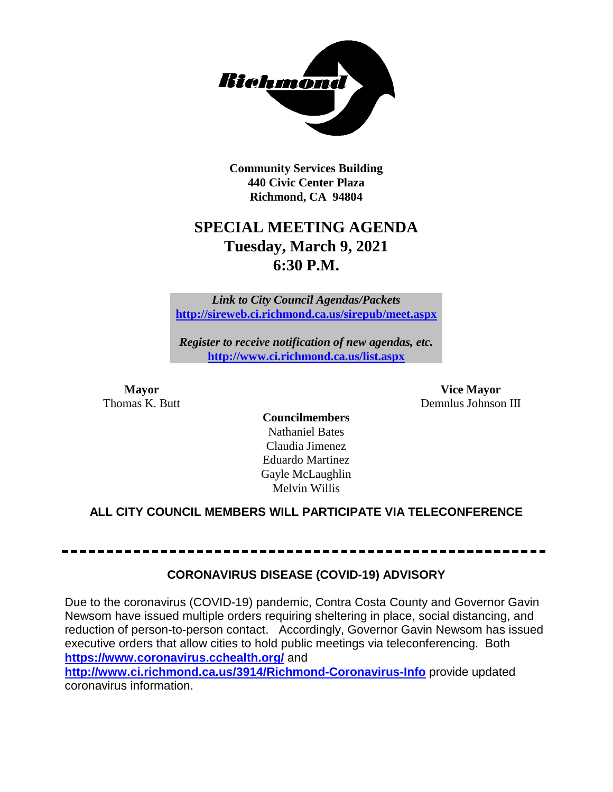

**Community Services Building 440 Civic Center Plaza Richmond, CA 94804**

## **SPECIAL MEETING AGENDA Tuesday, March 9, 2021 6:30 P.M.**

*Link to City Council Agendas/Packets* **<http://sireweb.ci.richmond.ca.us/sirepub/meet.aspx>**

*Register to receive notification of new agendas, etc.* **<http://www.ci.richmond.ca.us/list.aspx>**

**Mayor Vice Mayor** Thomas K. Butt **Demnlus Johnson III** 

**Councilmembers** Nathaniel Bates Claudia Jimenez Eduardo Martinez Gayle McLaughlin Melvin Willis

#### **ALL CITY COUNCIL MEMBERS WILL PARTICIPATE VIA TELECONFERENCE**

#### **CORONAVIRUS DISEASE (COVID-19) ADVISORY**

Due to the coronavirus (COVID-19) pandemic, Contra Costa County and Governor Gavin Newsom have issued multiple orders requiring sheltering in place, social distancing, and reduction of person-to-person contact. Accordingly, Governor Gavin Newsom has issued executive orders that allow cities to hold public meetings via teleconferencing. Both **<https://www.coronavirus.cchealth.org/>** and

**<http://www.ci.richmond.ca.us/3914/Richmond-Coronavirus-Info>** provide updated coronavirus information.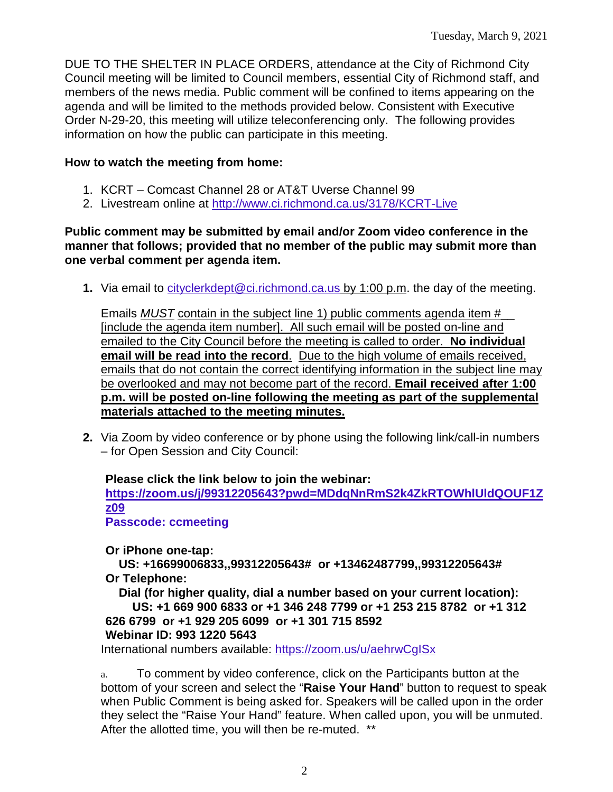DUE TO THE SHELTER IN PLACE ORDERS, attendance at the City of Richmond City Council meeting will be limited to Council members, essential City of Richmond staff, and members of the news media. Public comment will be confined to items appearing on the agenda and will be limited to the methods provided below. Consistent with Executive Order N-29-20, this meeting will utilize teleconferencing only. The following provides information on how the public can participate in this meeting.

#### **How to watch the meeting from home:**

- 1. KCRT Comcast Channel 28 or AT&T Uverse Channel 99
- 2. Livestream online at<http://www.ci.richmond.ca.us/3178/KCRT-Live>

#### **Public comment may be submitted by email and/or Zoom video conference in the manner that follows; provided that no member of the public may submit more than one verbal comment per agenda item.**

**1.** Via email to [cityclerkdept@ci.richmond.ca.us](mailto:cityclerkdept@ci.richmond.ca.us) by 1:00 p.m. the day of the meeting.

Emails *MUST* contain in the subject line 1) public comments agenda item #\_\_ [include the agenda item number]. All such email will be posted on-line and emailed to the City Council before the meeting is called to order. **No individual email will be read into the record**. Due to the high volume of emails received, emails that do not contain the correct identifying information in the subject line may be overlooked and may not become part of the record. **Email received after 1:00 p.m. will be posted on-line following the meeting as part of the supplemental materials attached to the meeting minutes.**

**2.** Via Zoom by video conference or by phone using the following link/call-in numbers – for Open Session and City Council:

#### **Please click the link below to join the webinar: [https://zoom.us/j/99312205643?pwd=MDdqNnRmS2k4ZkRTOWhlUldQOUF1Z](https://zoom.us/j/99312205643?pwd=MDdqNnRmS2k4ZkRTOWhlUldQOUF1Zz09) [z09](https://zoom.us/j/99312205643?pwd=MDdqNnRmS2k4ZkRTOWhlUldQOUF1Zz09) Passcode: ccmeeting**

**Or iPhone one-tap:**

**US: +16699006833,,99312205643# or +13462487799,,99312205643# Or Telephone:**

**Dial (for higher quality, dial a number based on your current location): US: +1 669 900 6833 or +1 346 248 7799 or +1 253 215 8782 or +1 312** 

**626 6799 or +1 929 205 6099 or +1 301 715 8592**

#### **Webinar ID: 993 1220 5643**

International numbers available: <https://zoom.us/u/aehrwCgISx>

a. To comment by video conference, click on the Participants button at the bottom of your screen and select the "**Raise Your Hand**" button to request to speak when Public Comment is being asked for. Speakers will be called upon in the order they select the "Raise Your Hand" feature. When called upon, you will be unmuted. After the allotted time, you will then be re-muted. \*\*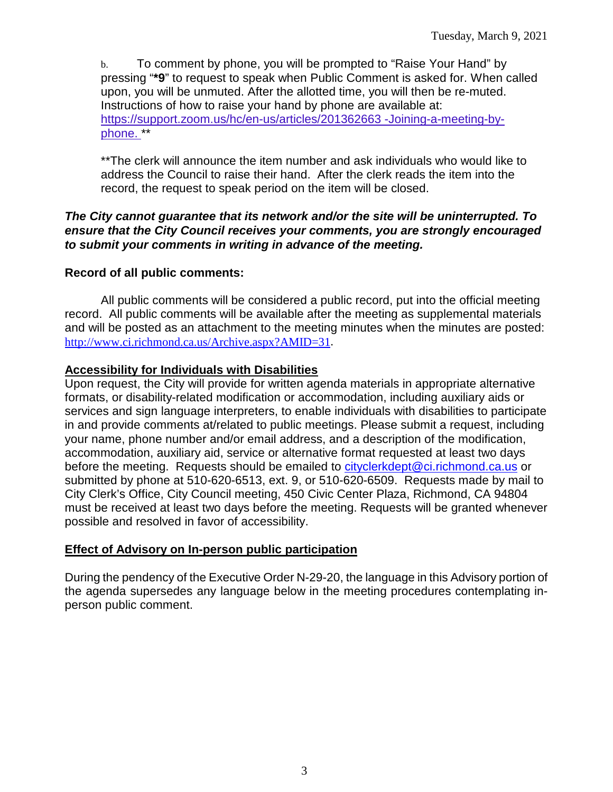b. To comment by phone, you will be prompted to "Raise Your Hand" by pressing "**\*9**" to request to speak when Public Comment is asked for. When called upon, you will be unmuted. After the allotted time, you will then be re-muted. Instructions of how to raise your hand by phone are available at: [https://support.zoom.us/hc/en-us/articles/201362663 -Joining-a-meeting-by](https://support.zoom.us/hc/en-us/articles/201362663)[phone.](https://support.zoom.us/hc/en-us/articles/201362663) \*\*

\*\*The clerk will announce the item number and ask individuals who would like to address the Council to raise their hand. After the clerk reads the item into the record, the request to speak period on the item will be closed.

#### *The City cannot guarantee that its network and/or the site will be uninterrupted. To ensure that the City Council receives your comments, you are strongly encouraged to submit your comments in writing in advance of the meeting.*

#### **Record of all public comments:**

All public comments will be considered a public record, put into the official meeting record. All public comments will be available after the meeting as supplemental materials and will be posted as an attachment to the meeting minutes when the minutes are posted: [http://www.ci.richmond.ca.us/Archive.aspx?AMID=31.](http://www.ci.richmond.ca.us/Archive.aspx?AMID=31)

#### **Accessibility for Individuals with Disabilities**

Upon request, the City will provide for written agenda materials in appropriate alternative formats, or disability-related modification or accommodation, including auxiliary aids or services and sign language interpreters, to enable individuals with disabilities to participate in and provide comments at/related to public meetings. Please submit a request, including your name, phone number and/or email address, and a description of the modification, accommodation, auxiliary aid, service or alternative format requested at least two days before the meeting. Requests should be emailed to [cityclerkdept@ci.richmond.ca.us](mailto:cityclerkdept@ci.richmond.ca.us) or submitted by phone at 510-620-6513, ext. 9, or 510-620-6509. Requests made by mail to City Clerk's Office, City Council meeting, 450 Civic Center Plaza, Richmond, CA 94804 must be received at least two days before the meeting. Requests will be granted whenever possible and resolved in favor of accessibility.

#### **Effect of Advisory on In-person public participation**

During the pendency of the Executive Order N-29-20, the language in this Advisory portion of the agenda supersedes any language below in the meeting procedures contemplating inperson public comment.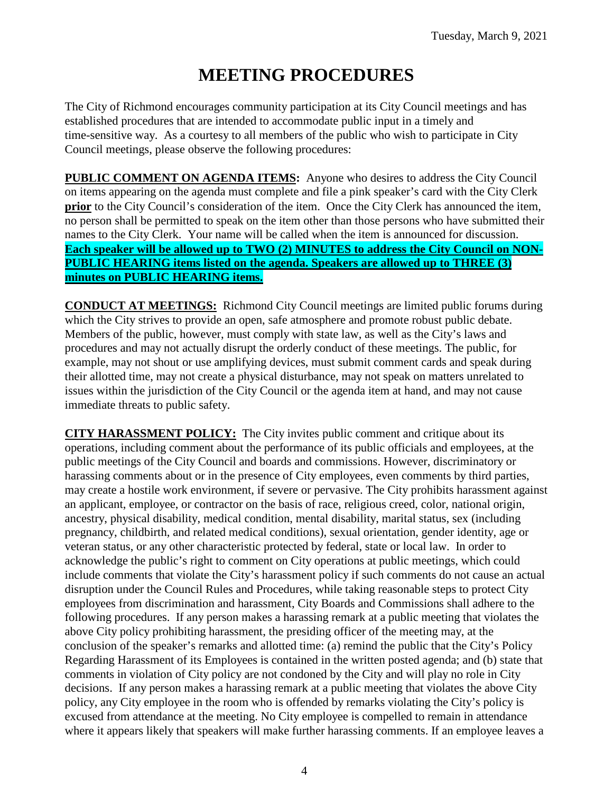# **MEETING PROCEDURES**

The City of Richmond encourages community participation at its City Council meetings and has established procedures that are intended to accommodate public input in a timely and time-sensitive way. As a courtesy to all members of the public who wish to participate in City Council meetings, please observe the following procedures:

**PUBLIC COMMENT ON AGENDA ITEMS:** Anyone who desires to address the City Council on items appearing on the agenda must complete and file a pink speaker's card with the City Clerk **prior** to the City Council's consideration of the item. Once the City Clerk has announced the item, no person shall be permitted to speak on the item other than those persons who have submitted their names to the City Clerk. Your name will be called when the item is announced for discussion. **Each speaker will be allowed up to TWO (2) MINUTES to address the City Council on NON-PUBLIC HEARING items listed on the agenda. Speakers are allowed up to THREE (3) minutes on PUBLIC HEARING items.**

**CONDUCT AT MEETINGS:** Richmond City Council meetings are limited public forums during which the City strives to provide an open, safe atmosphere and promote robust public debate. Members of the public, however, must comply with state law, as well as the City's laws and procedures and may not actually disrupt the orderly conduct of these meetings. The public, for example, may not shout or use amplifying devices, must submit comment cards and speak during their allotted time, may not create a physical disturbance, may not speak on matters unrelated to issues within the jurisdiction of the City Council or the agenda item at hand, and may not cause immediate threats to public safety.

**CITY HARASSMENT POLICY:** The City invites public comment and critique about its operations, including comment about the performance of its public officials and employees, at the public meetings of the City Council and boards and commissions. However, discriminatory or harassing comments about or in the presence of City employees, even comments by third parties, may create a hostile work environment, if severe or pervasive. The City prohibits harassment against an applicant, employee, or contractor on the basis of race, religious creed, color, national origin, ancestry, physical disability, medical condition, mental disability, marital status, sex (including pregnancy, childbirth, and related medical conditions), sexual orientation, gender identity, age or veteran status, or any other characteristic protected by federal, state or local law. In order to acknowledge the public's right to comment on City operations at public meetings, which could include comments that violate the City's harassment policy if such comments do not cause an actual disruption under the Council Rules and Procedures, while taking reasonable steps to protect City employees from discrimination and harassment, City Boards and Commissions shall adhere to the following procedures. If any person makes a harassing remark at a public meeting that violates the above City policy prohibiting harassment, the presiding officer of the meeting may, at the conclusion of the speaker's remarks and allotted time: (a) remind the public that the City's Policy Regarding Harassment of its Employees is contained in the written posted agenda; and (b) state that comments in violation of City policy are not condoned by the City and will play no role in City decisions. If any person makes a harassing remark at a public meeting that violates the above City policy, any City employee in the room who is offended by remarks violating the City's policy is excused from attendance at the meeting. No City employee is compelled to remain in attendance where it appears likely that speakers will make further harassing comments. If an employee leaves a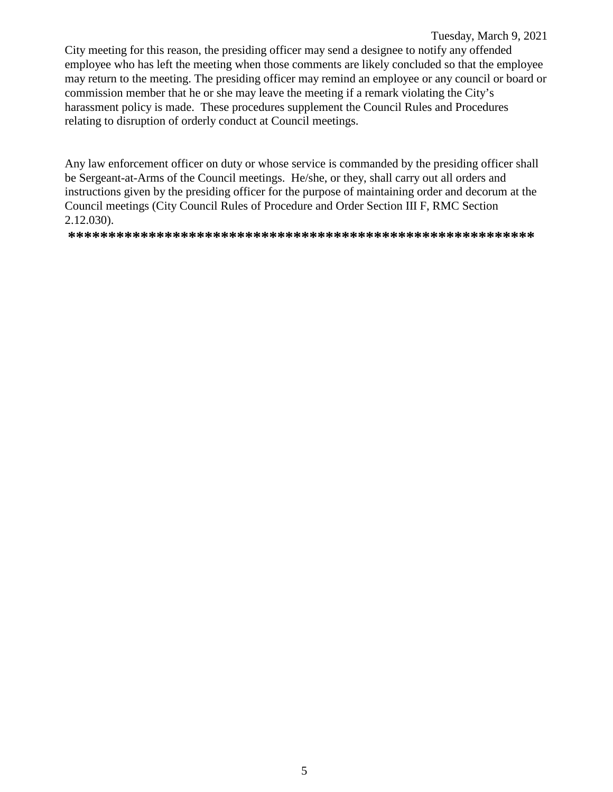#### Tuesday, March 9, 2021

City meeting for this reason, the presiding officer may send a designee to notify any offended employee who has left the meeting when those comments are likely concluded so that the employee may return to the meeting. The presiding officer may remind an employee or any council or board or commission member that he or she may leave the meeting if a remark violating the City's harassment policy is made. These procedures supplement the Council Rules and Procedures relating to disruption of orderly conduct at Council meetings.

Any law enforcement officer on duty or whose service is commanded by the presiding officer shall be Sergeant-at-Arms of the Council meetings. He/she, or they, shall carry out all orders and instructions given by the presiding officer for the purpose of maintaining order and decorum at the Council meetings (City Council Rules of Procedure and Order Section III F, RMC Section  $2.12.030$ ).